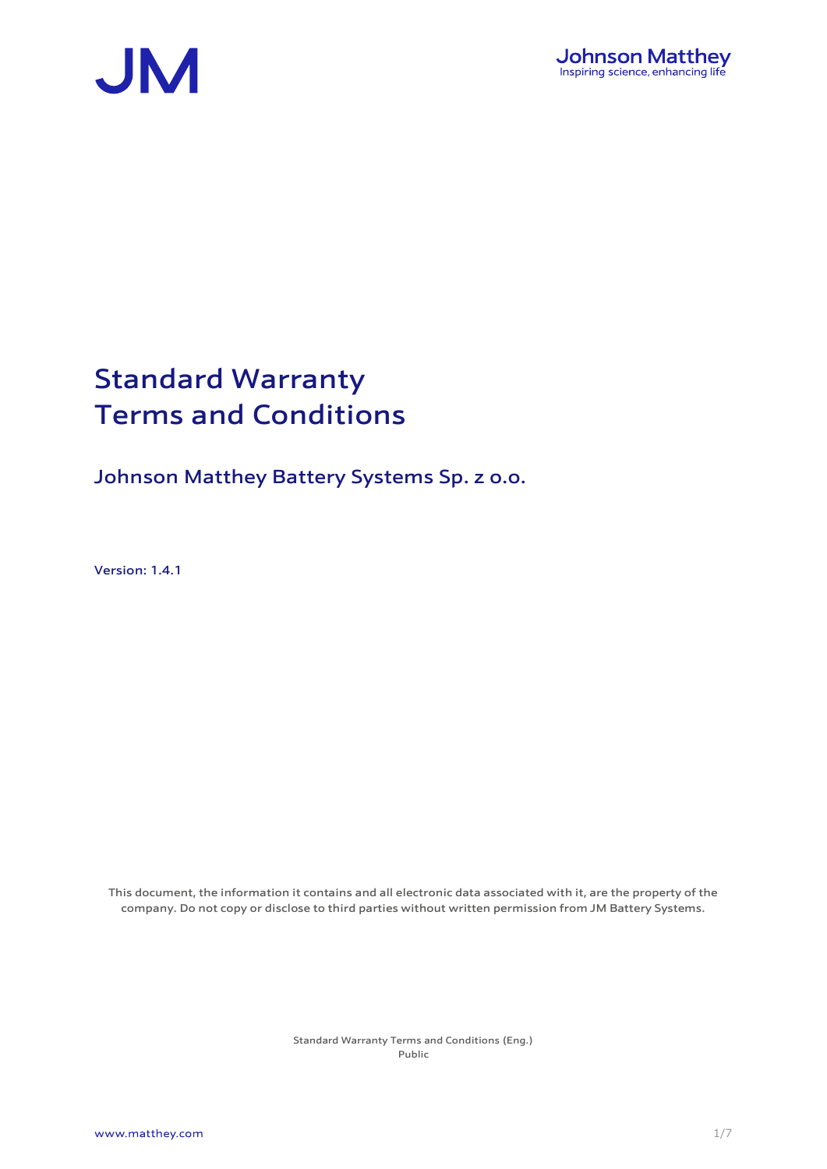



# Standard Warranty Terms and Conditions

Johnson Matthey Battery Systems Sp. z o.o.

Version: 1.4.1

This document, the information it contains and all electronic data associated with it, are the property of the company. Do not copy or disclose to third parties without written permission from JM Battery Systems.

> Standard Warranty Terms and Conditions (Eng.) Public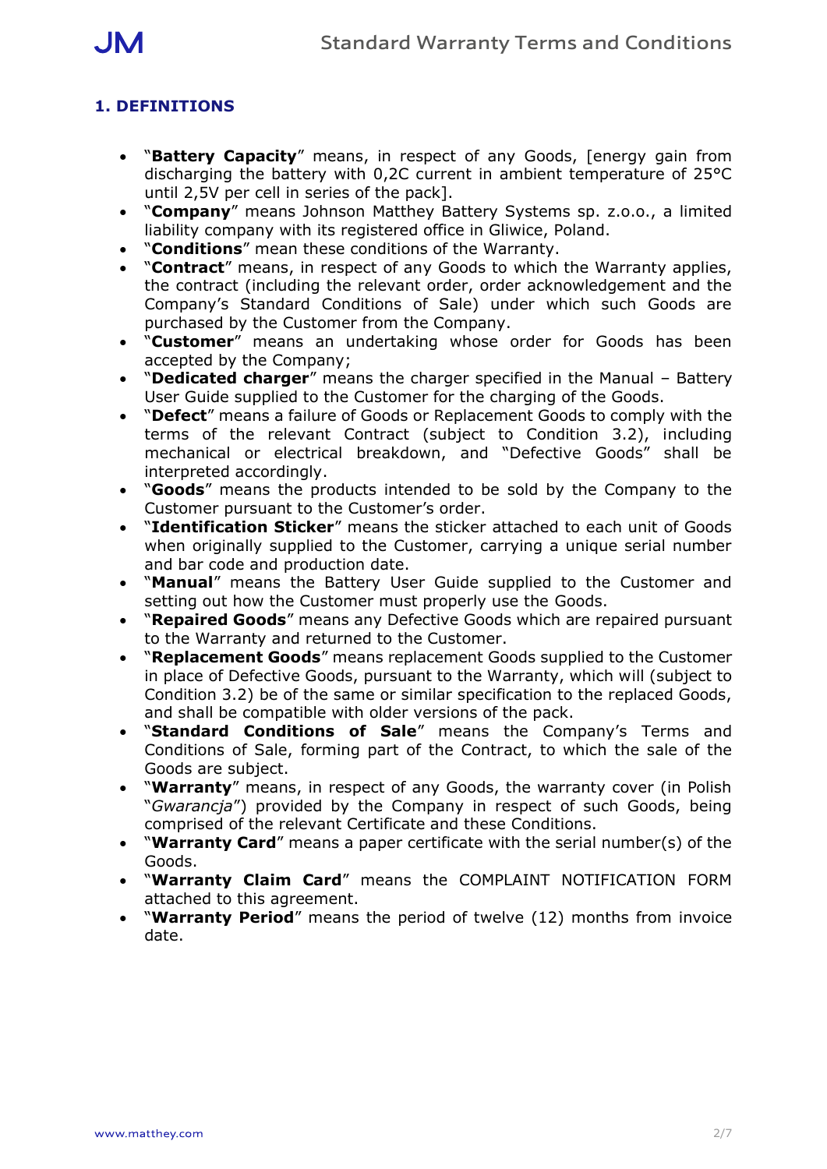

# **1. DEFINITIONS**

- **"Battery Capacity**" means, in respect of any Goods, [energy gain from discharging the battery with 0,2C current in ambient temperature of 25°C until 2,5V per cell in series of the pack].
- "**Company**" means Johnson Matthey Battery Systems sp. z.o.o., a limited liability company with its registered office in Gliwice, Poland.
- "**Conditions**" mean these conditions of the Warranty.
- "**Contract**" means, in respect of any Goods to which the Warranty applies, the contract (including the relevant order, order acknowledgement and the Company's Standard Conditions of Sale) under which such Goods are purchased by the Customer from the Company.
- "**Customer**" means an undertaking whose order for Goods has been accepted by the Company;
- "**Dedicated charger**" means the charger specified in the Manual Battery User Guide supplied to the Customer for the charging of the Goods.
- "**Defect**" means a failure of Goods or Replacement Goods to comply with the terms of the relevant Contract (subject to Condition 3.2), including mechanical or electrical breakdown, and "Defective Goods" shall be interpreted accordingly.
- "**Goods**" means the products intended to be sold by the Company to the Customer pursuant to the Customer's order.
- "**Identification Sticker**" means the sticker attached to each unit of Goods when originally supplied to the Customer, carrying a unique serial number and bar code and production date.
- "**Manual**" means the Battery User Guide supplied to the Customer and setting out how the Customer must properly use the Goods.
- "**Repaired Goods**" means any Defective Goods which are repaired pursuant to the Warranty and returned to the Customer.
- "**Replacement Goods**" means replacement Goods supplied to the Customer in place of Defective Goods, pursuant to the Warranty, which will (subject to Condition 3.2) be of the same or similar specification to the replaced Goods, and shall be compatible with older versions of the pack.
- "**Standard Conditions of Sale**" means the Company's Terms and Conditions of Sale, forming part of the Contract, to which the sale of the Goods are subject.
- "**Warranty**" means, in respect of any Goods, the warranty cover (in Polish "*Gwarancja*") provided by the Company in respect of such Goods, being comprised of the relevant Certificate and these Conditions.
- "**Warranty Card**" means a paper certificate with the serial number(s) of the Goods.
- "**Warranty Claim Card**" means the COMPLAINT NOTIFICATION FORM attached to this agreement.
- "**Warranty Period**" means the period of twelve (12) months from invoice date.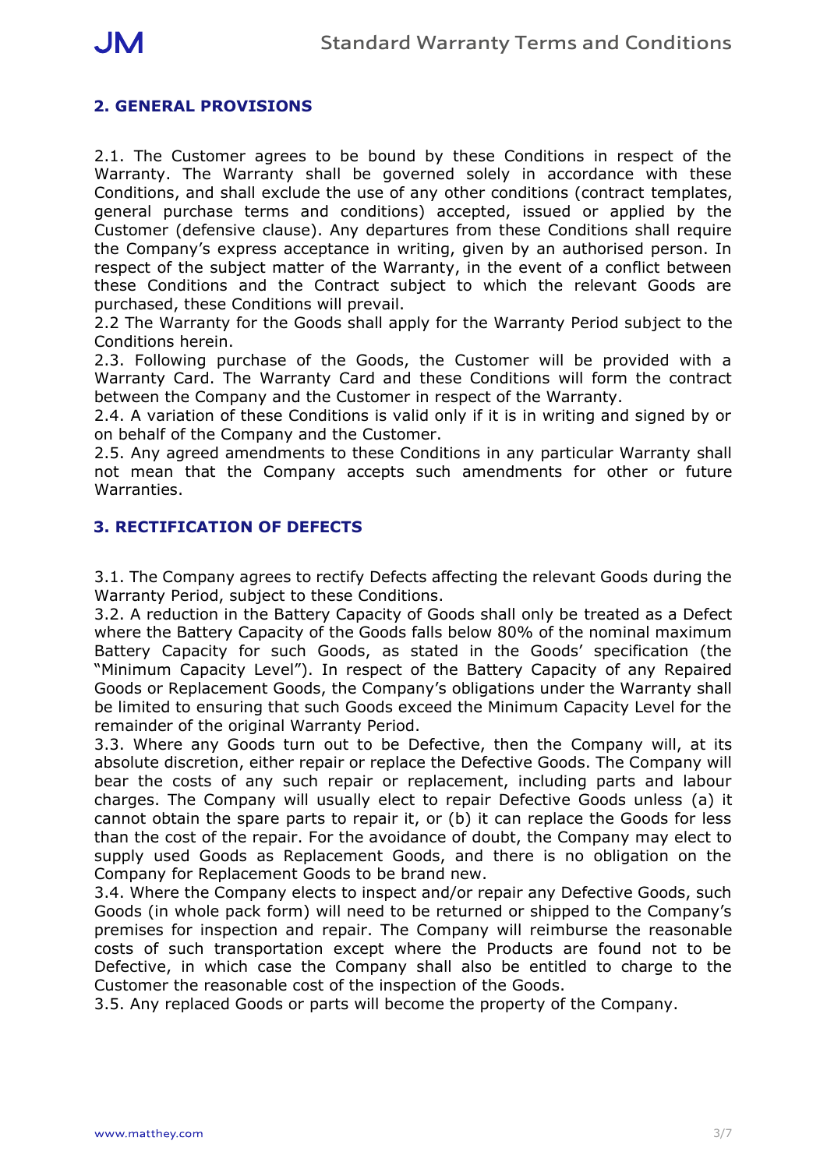# **2. GENERAL PROVISIONS**

2.1. The Customer agrees to be bound by these Conditions in respect of the Warranty. The Warranty shall be governed solely in accordance with these Conditions, and shall exclude the use of any other conditions (contract templates, general purchase terms and conditions) accepted, issued or applied by the Customer (defensive clause). Any departures from these Conditions shall require the Company's express acceptance in writing, given by an authorised person. In respect of the subject matter of the Warranty, in the event of a conflict between these Conditions and the Contract subject to which the relevant Goods are purchased, these Conditions will prevail.

2.2 The Warranty for the Goods shall apply for the Warranty Period subject to the Conditions herein.

2.3. Following purchase of the Goods, the Customer will be provided with a Warranty Card. The Warranty Card and these Conditions will form the contract between the Company and the Customer in respect of the Warranty.

2.4. A variation of these Conditions is valid only if it is in writing and signed by or on behalf of the Company and the Customer.

2.5. Any agreed amendments to these Conditions in any particular Warranty shall not mean that the Company accepts such amendments for other or future Warranties.

#### **3. RECTIFICATION OF DEFECTS**

3.1. The Company agrees to rectify Defects affecting the relevant Goods during the Warranty Period, subject to these Conditions.

3.2. A reduction in the Battery Capacity of Goods shall only be treated as a Defect where the Battery Capacity of the Goods falls below 80% of the nominal maximum Battery Capacity for such Goods, as stated in the Goods' specification (the "Minimum Capacity Level"). In respect of the Battery Capacity of any Repaired Goods or Replacement Goods, the Company's obligations under the Warranty shall be limited to ensuring that such Goods exceed the Minimum Capacity Level for the remainder of the original Warranty Period.

3.3. Where any Goods turn out to be Defective, then the Company will, at its absolute discretion, either repair or replace the Defective Goods. The Company will bear the costs of any such repair or replacement, including parts and labour charges. The Company will usually elect to repair Defective Goods unless (a) it cannot obtain the spare parts to repair it, or (b) it can replace the Goods for less than the cost of the repair. For the avoidance of doubt, the Company may elect to supply used Goods as Replacement Goods, and there is no obligation on the Company for Replacement Goods to be brand new.

3.4. Where the Company elects to inspect and/or repair any Defective Goods, such Goods (in whole pack form) will need to be returned or shipped to the Company's premises for inspection and repair. The Company will reimburse the reasonable costs of such transportation except where the Products are found not to be Defective, in which case the Company shall also be entitled to charge to the Customer the reasonable cost of the inspection of the Goods.

3.5. Any replaced Goods or parts will become the property of the Company.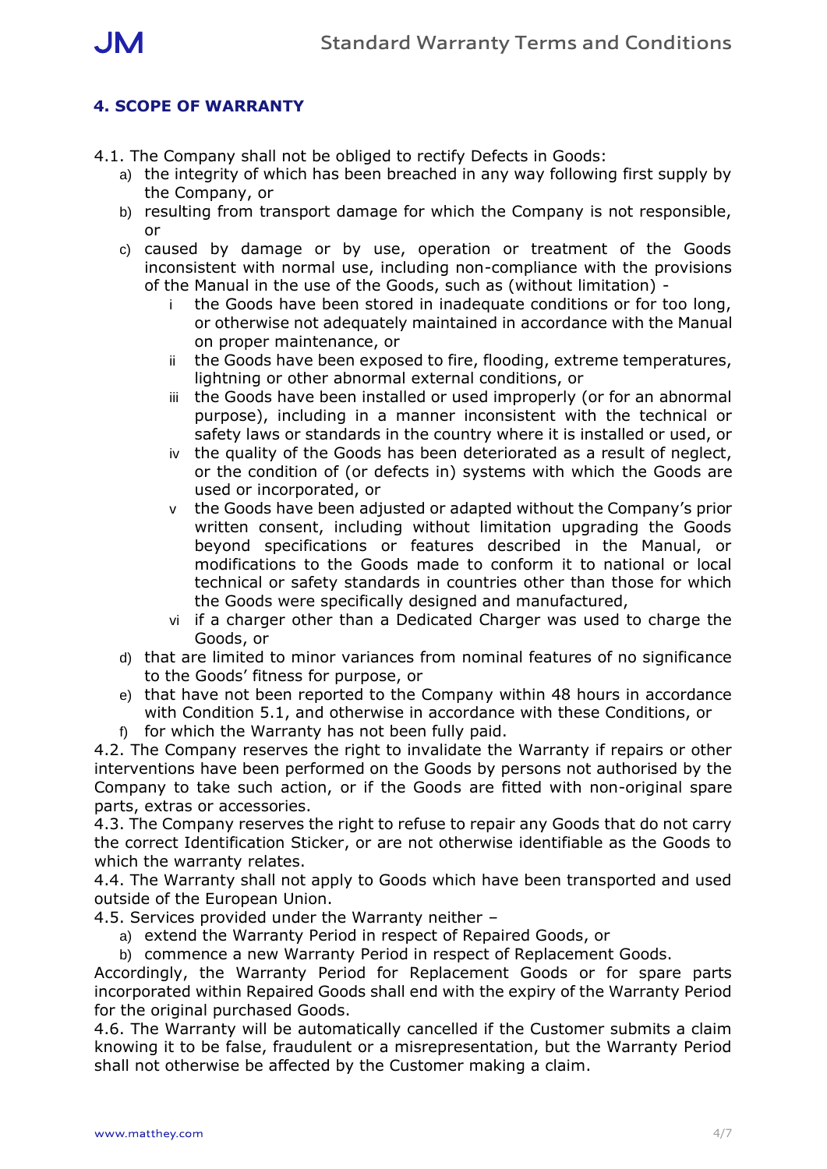

## **4. SCOPE OF WARRANTY**

- 4.1. The Company shall not be obliged to rectify Defects in Goods:
	- a) the integrity of which has been breached in any way following first supply by the Company, or
	- b) resulting from transport damage for which the Company is not responsible, or
	- c) caused by damage or by use, operation or treatment of the Goods inconsistent with normal use, including non-compliance with the provisions of the Manual in the use of the Goods, such as (without limitation)
		- i the Goods have been stored in inadequate conditions or for too long, or otherwise not adequately maintained in accordance with the Manual on proper maintenance, or
		- ii the Goods have been exposed to fire, flooding, extreme temperatures, lightning or other abnormal external conditions, or
		- iii the Goods have been installed or used improperly (or for an abnormal purpose), including in a manner inconsistent with the technical or safety laws or standards in the country where it is installed or used, or
		- iv the quality of the Goods has been deteriorated as a result of neglect, or the condition of (or defects in) systems with which the Goods are used or incorporated, or
		- v the Goods have been adjusted or adapted without the Company's prior written consent, including without limitation upgrading the Goods beyond specifications or features described in the Manual, or modifications to the Goods made to conform it to national or local technical or safety standards in countries other than those for which the Goods were specifically designed and manufactured,
		- vi if a charger other than a Dedicated Charger was used to charge the Goods, or
	- d) that are limited to minor variances from nominal features of no significance to the Goods' fitness for purpose, or
	- e) that have not been reported to the Company within 48 hours in accordance with Condition 5.1, and otherwise in accordance with these Conditions, or
	- f) for which the Warranty has not been fully paid.

4.2. The Company reserves the right to invalidate the Warranty if repairs or other interventions have been performed on the Goods by persons not authorised by the Company to take such action, or if the Goods are fitted with non-original spare parts, extras or accessories.

4.3. The Company reserves the right to refuse to repair any Goods that do not carry the correct Identification Sticker, or are not otherwise identifiable as the Goods to which the warranty relates.

4.4. The Warranty shall not apply to Goods which have been transported and used outside of the European Union.

- 4.5. Services provided under the Warranty neither
	- a) extend the Warranty Period in respect of Repaired Goods, or

b) commence a new Warranty Period in respect of Replacement Goods.

Accordingly, the Warranty Period for Replacement Goods or for spare parts incorporated within Repaired Goods shall end with the expiry of the Warranty Period for the original purchased Goods.

4.6. The Warranty will be automatically cancelled if the Customer submits a claim knowing it to be false, fraudulent or a misrepresentation, but the Warranty Period shall not otherwise be affected by the Customer making a claim.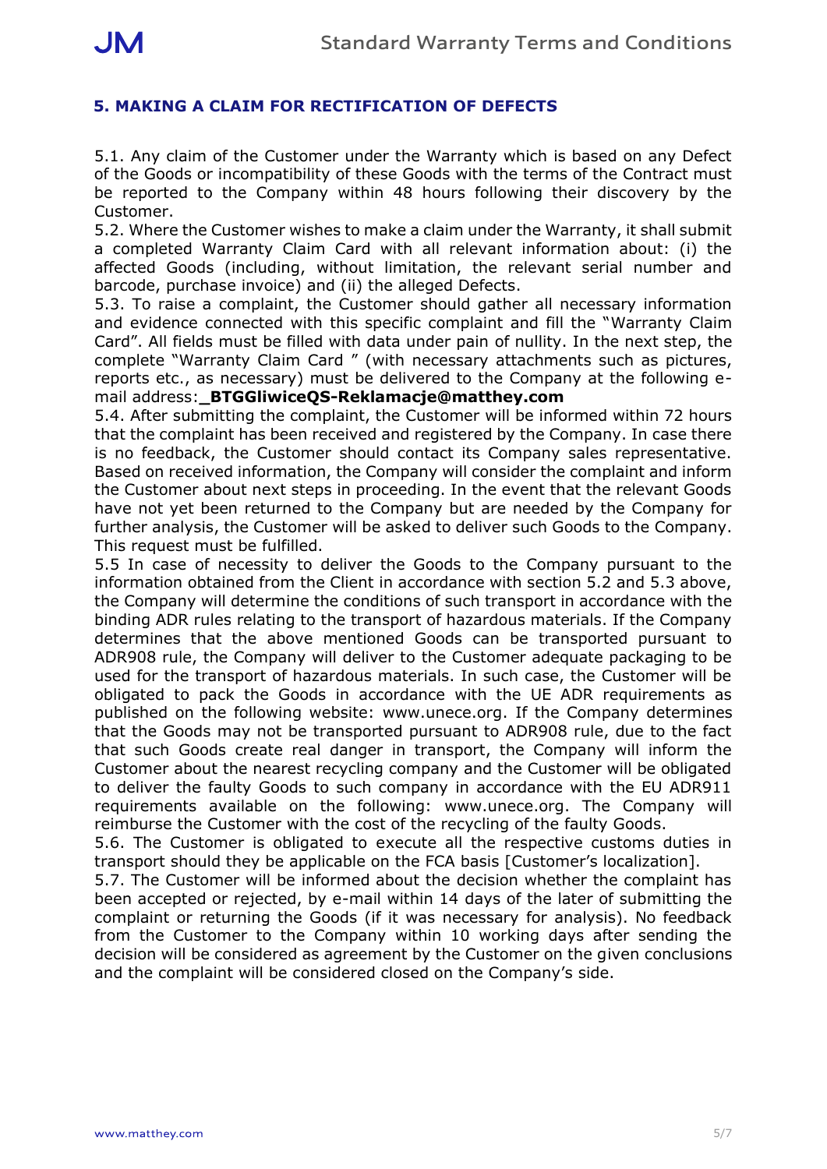## **5. MAKING A CLAIM FOR RECTIFICATION OF DEFECTS**

5.1. Any claim of the Customer under the Warranty which is based on any Defect of the Goods or incompatibility of these Goods with the terms of the Contract must be reported to the Company within 48 hours following their discovery by the Customer.

5.2. Where the Customer wishes to make a claim under the Warranty, it shall submit a completed Warranty Claim Card with all relevant information about: (i) the affected Goods (including, without limitation, the relevant serial number and barcode, purchase invoice) and (ii) the alleged Defects.

5.3. To raise a complaint, the Customer should gather all necessary information and evidence connected with this specific complaint and fill the "Warranty Claim Card". All fields must be filled with data under pain of nullity. In the next step, the complete "Warranty Claim Card " (with necessary attachments such as pictures, reports etc., as necessary) must be delivered to the Company at the following email address:**\_BTGGliwiceQS-Reklamacje@matthey.com**

5.4. After submitting the complaint, the Customer will be informed within 72 hours that the complaint has been received and registered by the Company. In case there is no feedback, the Customer should contact its Company sales representative. Based on received information, the Company will consider the complaint and inform the Customer about next steps in proceeding. In the event that the relevant Goods have not yet been returned to the Company but are needed by the Company for further analysis, the Customer will be asked to deliver such Goods to the Company. This request must be fulfilled.

5.5 In case of necessity to deliver the Goods to the Company pursuant to the information obtained from the Client in accordance with section 5.2 and 5.3 above, the Company will determine the conditions of such transport in accordance with the binding ADR rules relating to the transport of hazardous materials. If the Company determines that the above mentioned Goods can be transported pursuant to ADR908 rule, the Company will deliver to the Customer adequate packaging to be used for the transport of hazardous materials. In such case, the Customer will be obligated to pack the Goods in accordance with the UE ADR requirements as published on the following website: www.unece.org. If the Company determines that the Goods may not be transported pursuant to ADR908 rule, due to the fact that such Goods create real danger in transport, the Company will inform the Customer about the nearest recycling company and the Customer will be obligated to deliver the faulty Goods to such company in accordance with the EU ADR911 requirements available on the following: www.unece.org. The Company will reimburse the Customer with the cost of the recycling of the faulty Goods.

5.6. The Customer is obligated to execute all the respective customs duties in transport should they be applicable on the FCA basis [Customer's localization].

5.7. The Customer will be informed about the decision whether the complaint has been accepted or rejected, by e-mail within 14 days of the later of submitting the complaint or returning the Goods (if it was necessary for analysis). No feedback from the Customer to the Company within 10 working days after sending the decision will be considered as agreement by the Customer on the given conclusions and the complaint will be considered closed on the Company's side.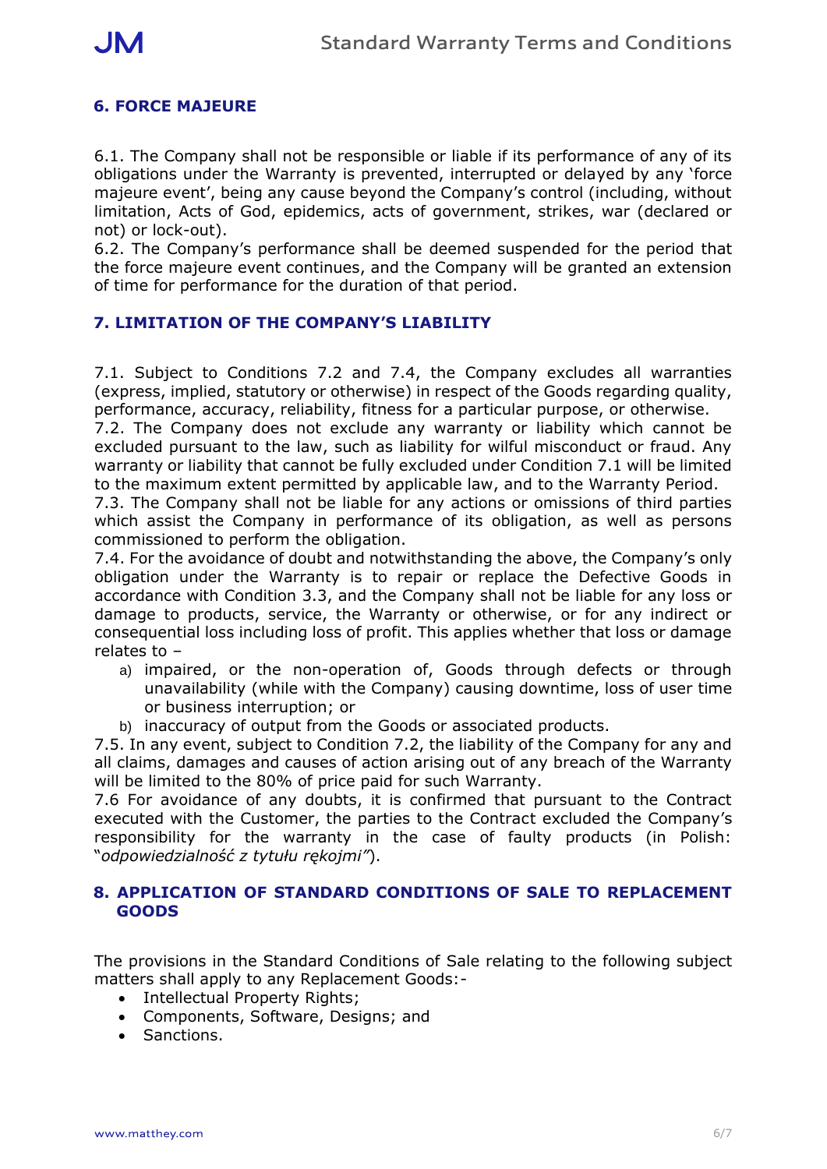## **6. FORCE MAJEURE**

6.1. The Company shall not be responsible or liable if its performance of any of its obligations under the Warranty is prevented, interrupted or delayed by any 'force majeure event', being any cause beyond the Company's control (including, without limitation, Acts of God, epidemics, acts of government, strikes, war (declared or not) or lock-out).

6.2. The Company's performance shall be deemed suspended for the period that the force majeure event continues, and the Company will be granted an extension of time for performance for the duration of that period.

#### **7. LIMITATION OF THE COMPANY'S LIABILITY**

7.1. Subject to Conditions 7.2 and 7.4, the Company excludes all warranties (express, implied, statutory or otherwise) in respect of the Goods regarding quality, performance, accuracy, reliability, fitness for a particular purpose, or otherwise.

7.2. The Company does not exclude any warranty or liability which cannot be excluded pursuant to the law, such as liability for wilful misconduct or fraud. Any warranty or liability that cannot be fully excluded under Condition 7.1 will be limited to the maximum extent permitted by applicable law, and to the Warranty Period.

7.3. The Company shall not be liable for any actions or omissions of third parties which assist the Company in performance of its obligation, as well as persons commissioned to perform the obligation.

7.4. For the avoidance of doubt and notwithstanding the above, the Company's only obligation under the Warranty is to repair or replace the Defective Goods in accordance with Condition 3.3, and the Company shall not be liable for any loss or damage to products, service, the Warranty or otherwise, or for any indirect or consequential loss including loss of profit. This applies whether that loss or damage relates to –

- a) impaired, or the non-operation of, Goods through defects or through unavailability (while with the Company) causing downtime, loss of user time or business interruption; or
- b) inaccuracy of output from the Goods or associated products.

7.5. In any event, subject to Condition 7.2, the liability of the Company for any and all claims, damages and causes of action arising out of any breach of the Warranty will be limited to the 80% of price paid for such Warranty.

7.6 For avoidance of any doubts, it is confirmed that pursuant to the Contract executed with the Customer, the parties to the Contract excluded the Company's responsibility for the warranty in the case of faulty products (in Polish: "*odpowiedzialność z tytułu rękojmi"*).

#### **8. APPLICATION OF STANDARD CONDITIONS OF SALE TO REPLACEMENT GOODS**

The provisions in the Standard Conditions of Sale relating to the following subject matters shall apply to any Replacement Goods:-

- Intellectual Property Rights;
- Components, Software, Designs; and
- Sanctions.